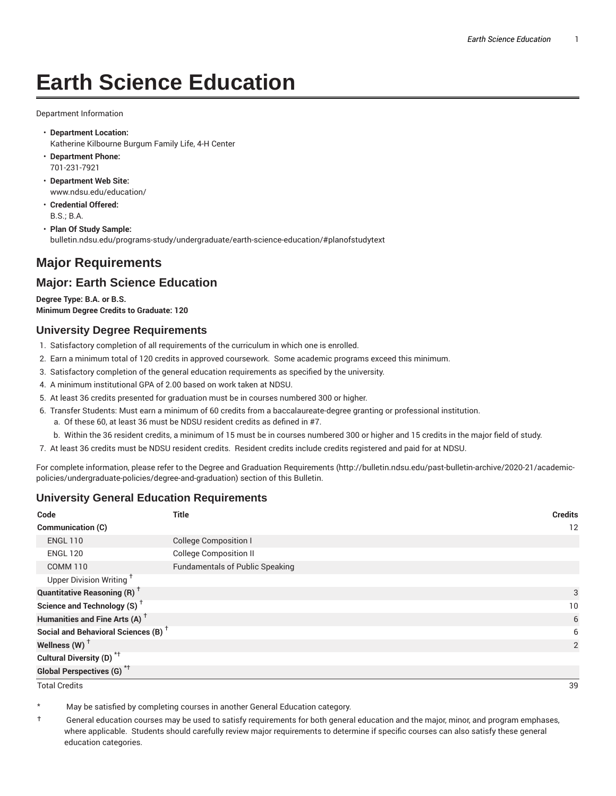# **Earth Science Education**

Department Information

- **Department Location:** Katherine Kilbourne Burgum Family Life, 4-H Center
- **Department Phone:** 701-231-7921
- **Department Web Site:** www.ndsu.edu/education/
- **Credential Offered:** B.S.; B.A.
- **Plan Of Study Sample:** bulletin.ndsu.edu/programs-study/undergraduate/earth-science-education/#planofstudytext

## **Major Requirements**

### **Major: Earth Science Education**

**Degree Type: B.A. or B.S. Minimum Degree Credits to Graduate: 120**

#### **University Degree Requirements**

- 1. Satisfactory completion of all requirements of the curriculum in which one is enrolled.
- 2. Earn a minimum total of 120 credits in approved coursework. Some academic programs exceed this minimum.
- 3. Satisfactory completion of the general education requirements as specified by the university.
- 4. A minimum institutional GPA of 2.00 based on work taken at NDSU.
- 5. At least 36 credits presented for graduation must be in courses numbered 300 or higher.
- 6. Transfer Students: Must earn a minimum of 60 credits from a baccalaureate-degree granting or professional institution.
	- a. Of these 60, at least 36 must be NDSU resident credits as defined in #7.
	- b. Within the 36 resident credits, a minimum of 15 must be in courses numbered 300 or higher and 15 credits in the major field of study.
- 7. At least 36 credits must be NDSU resident credits. Resident credits include credits registered and paid for at NDSU.

For complete information, please refer to the Degree and Graduation Requirements (http://bulletin.ndsu.edu/past-bulletin-archive/2020-21/academicpolicies/undergraduate-policies/degree-and-graduation) section of this Bulletin.

#### **University General Education Requirements**

| Code                                            | <b>Title</b>                           | <b>Credits</b> |
|-------------------------------------------------|----------------------------------------|----------------|
| Communication (C)                               |                                        | 12             |
| <b>ENGL 110</b>                                 | <b>College Composition I</b>           |                |
| <b>ENGL 120</b>                                 | <b>College Composition II</b>          |                |
| <b>COMM 110</b>                                 | <b>Fundamentals of Public Speaking</b> |                |
| Upper Division Writing <sup>+</sup>             |                                        |                |
| <b>Quantitative Reasoning (R)</b> <sup>†</sup>  |                                        | 3              |
| Science and Technology (S) <sup>+</sup>         |                                        | 10             |
| Humanities and Fine Arts (A) <sup>+</sup>       |                                        | 6              |
| Social and Behavioral Sciences (B) <sup>+</sup> |                                        | 6              |
| Wellness $(W)$ <sup>+</sup>                     |                                        | 2              |
| Cultural Diversity (D) <sup>*†</sup>            |                                        |                |
| <b>Global Perspectives (G)<sup>*†</sup></b>     |                                        |                |

Total Credits 39

May be satisfied by completing courses in another General Education category.

† General education courses may be used to satisfy requirements for both general education and the major, minor, and program emphases, where applicable. Students should carefully review major requirements to determine if specific courses can also satisfy these general education categories.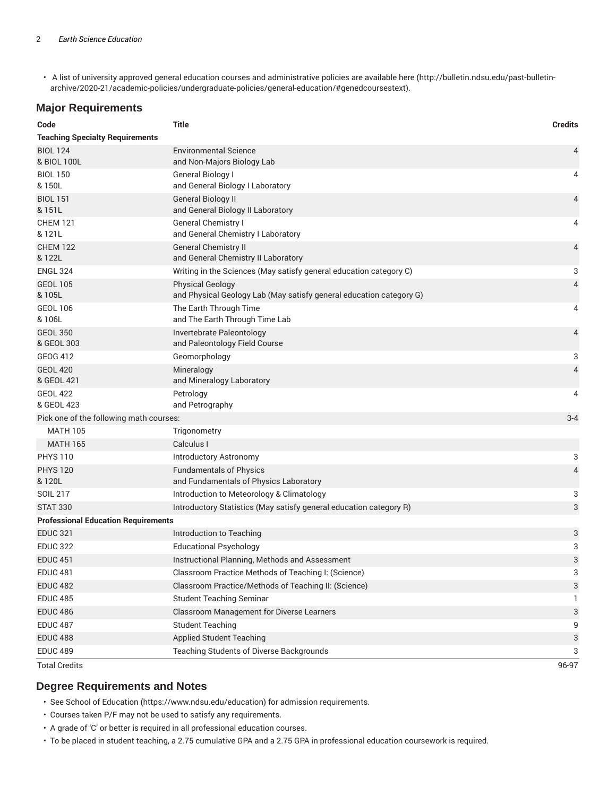• A list of university approved general education courses and administrative policies are available here (http://bulletin.ndsu.edu/past-bulletinarchive/2020-21/academic-policies/undergraduate-policies/general-education/#genedcoursestext).

#### **Major Requirements**

| Code                                       | <b>Title</b>                                                                                   | <b>Credits</b> |  |
|--------------------------------------------|------------------------------------------------------------------------------------------------|----------------|--|
| <b>Teaching Specialty Requirements</b>     |                                                                                                |                |  |
| <b>BIOL 124</b>                            | <b>Environmental Science</b>                                                                   | 4              |  |
| & BIOL 100L                                | and Non-Majors Biology Lab                                                                     |                |  |
| <b>BIOL 150</b>                            | General Biology I                                                                              | 4              |  |
| & 150L                                     | and General Biology I Laboratory                                                               |                |  |
| <b>BIOL 151</b><br>& 151L                  | General Biology II<br>and General Biology II Laboratory                                        | 4              |  |
| <b>CHEM 121</b>                            | <b>General Chemistry I</b>                                                                     | 4              |  |
| & 121L                                     | and General Chemistry I Laboratory                                                             |                |  |
| <b>CHEM 122</b><br>& 122L                  | <b>General Chemistry II</b><br>and General Chemistry II Laboratory                             | 4              |  |
| <b>ENGL 324</b>                            | Writing in the Sciences (May satisfy general education category C)                             | 3              |  |
| <b>GEOL 105</b><br>& 105L                  | <b>Physical Geology</b><br>and Physical Geology Lab (May satisfy general education category G) | 4              |  |
| <b>GEOL 106</b>                            | The Earth Through Time                                                                         | 4              |  |
| & 106L                                     | and The Earth Through Time Lab                                                                 |                |  |
| <b>GEOL 350</b>                            | Invertebrate Paleontology                                                                      | 4              |  |
| & GEOL 303                                 | and Paleontology Field Course                                                                  |                |  |
| <b>GEOG 412</b>                            | Geomorphology                                                                                  | 3              |  |
| <b>GEOL 420</b><br>& GEOL 421              | Mineralogy<br>and Mineralogy Laboratory                                                        | 4              |  |
| <b>GEOL 422</b>                            | Petrology                                                                                      | 4              |  |
| & GEOL 423                                 | and Petrography                                                                                |                |  |
|                                            | $3 - 4$<br>Pick one of the following math courses:                                             |                |  |
| <b>MATH 105</b>                            | Trigonometry                                                                                   |                |  |
| <b>MATH 165</b>                            | Calculus I                                                                                     |                |  |
| <b>PHYS 110</b>                            | Introductory Astronomy                                                                         | 3              |  |
| <b>PHYS 120</b>                            | <b>Fundamentals of Physics</b>                                                                 | $\overline{4}$ |  |
| & 120L                                     | and Fundamentals of Physics Laboratory                                                         |                |  |
| <b>SOIL 217</b>                            | Introduction to Meteorology & Climatology                                                      | 3              |  |
| <b>STAT 330</b>                            | Introductory Statistics (May satisfy general education category R)                             | 3              |  |
| <b>Professional Education Requirements</b> |                                                                                                |                |  |
| <b>EDUC 321</b>                            | Introduction to Teaching                                                                       | 3              |  |
| <b>EDUC 322</b>                            | <b>Educational Psychology</b>                                                                  | 3              |  |
| <b>EDUC 451</b>                            | Instructional Planning, Methods and Assessment                                                 | 3              |  |
| <b>EDUC 481</b>                            | Classroom Practice Methods of Teaching I: (Science)                                            | 3              |  |
| <b>EDUC 482</b>                            | Classroom Practice/Methods of Teaching II: (Science)                                           | 3              |  |
| <b>EDUC 485</b>                            | <b>Student Teaching Seminar</b>                                                                | L              |  |
| <b>EDUC 486</b>                            | Classroom Management for Diverse Learners                                                      | 3              |  |
| <b>EDUC 487</b>                            | <b>Student Teaching</b>                                                                        | 9              |  |
| <b>EDUC 488</b>                            | <b>Applied Student Teaching</b>                                                                | 3              |  |
| <b>EDUC 489</b>                            | Teaching Students of Diverse Backgrounds                                                       | 3              |  |
| <b>Total Credits</b>                       |                                                                                                | 96-97          |  |

#### **Degree Requirements and Notes**

• See School of Education (https://www.ndsu.edu/education) for admission requirements.

• Courses taken P/F may not be used to satisfy any requirements.

• A grade of 'C' or better is required in all professional education courses.

• To be placed in student teaching, a 2.75 cumulative GPA and a 2.75 GPA in professional education coursework is required.